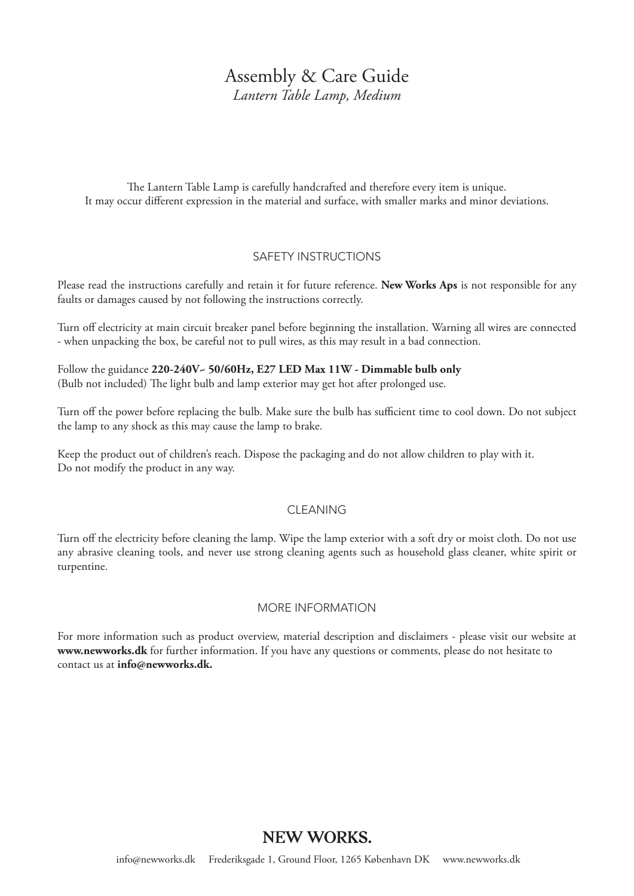# Assembly & Care Guide

*Lantern Table Lamp, Medium*

The Lantern Table Lamp is carefully handcrafted and therefore every item is unique. It may occur different expression in the material and surface, with smaller marks and minor deviations.

## SAFETY INSTRUCTIONS

Please read the instructions carefully and retain it for future reference. **New Works Aps** is not responsible for any faults or damages caused by not following the instructions correctly.

Turn off electricity at main circuit breaker panel before beginning the installation. Warning all wires are connected - when unpacking the box, be careful not to pull wires, as this may result in a bad connection.

Follow the guidance **220-240V~ 50/60Hz, E27 LED Max 11W - Dimmable bulb only** (Bulb not included) The light bulb and lamp exterior may get hot after prolonged use.

Turn off the power before replacing the bulb. Make sure the bulb has sufficient time to cool down. Do not subject the lamp to any shock as this may cause the lamp to brake.

Keep the product out of children's reach. Dispose the packaging and do not allow children to play with it. Do not modify the product in any way.

### CLEANING

Turn off the electricity before cleaning the lamp. Wipe the lamp exterior with a soft dry or moist cloth. Do not use any abrasive cleaning tools, and never use strong cleaning agents such as household glass cleaner, white spirit or turpentine.

### MORE INFORMATION

For more information such as product overview, material description and disclaimers - please visit our website at **www.newworks.dk** for further information. If you have any questions or comments, please do not hesitate to contact us at **info@newworks.dk.**

## **NEW WORKS.**